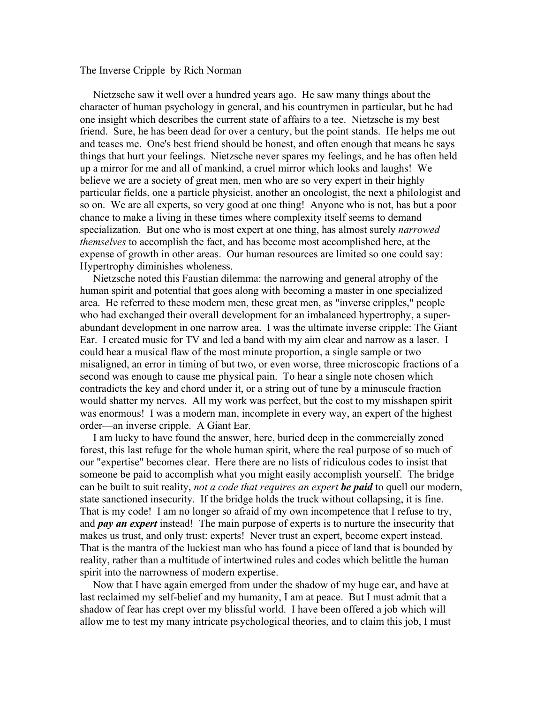## The Inverse Cripple by Rich Norman

 Nietzsche saw it well over a hundred years ago. He saw many things about the character of human psychology in general, and his countrymen in particular, but he had one insight which describes the current state of affairs to a tee. Nietzsche is my best friend. Sure, he has been dead for over a century, but the point stands. He helps me out and teases me. One's best friend should be honest, and often enough that means he says things that hurt your feelings. Nietzsche never spares my feelings, and he has often held up a mirror for me and all of mankind, a cruel mirror which looks and laughs! We believe we are a society of great men, men who are so very expert in their highly particular fields, one a particle physicist, another an oncologist, the next a philologist and so on. We are all experts, so very good at one thing! Anyone who is not, has but a poor chance to make a living in these times where complexity itself seems to demand specialization. But one who is most expert at one thing, has almost surely *narrowed themselves* to accomplish the fact, and has become most accomplished here, at the expense of growth in other areas. Our human resources are limited so one could say: Hypertrophy diminishes wholeness.

 Nietzsche noted this Faustian dilemma: the narrowing and general atrophy of the human spirit and potential that goes along with becoming a master in one specialized area. He referred to these modern men, these great men, as "inverse cripples," people who had exchanged their overall development for an imbalanced hypertrophy, a superabundant development in one narrow area. I was the ultimate inverse cripple: The Giant Ear. I created music for TV and led a band with my aim clear and narrow as a laser. I could hear a musical flaw of the most minute proportion, a single sample or two misaligned, an error in timing of but two, or even worse, three microscopic fractions of a second was enough to cause me physical pain. To hear a single note chosen which contradicts the key and chord under it, or a string out of tune by a minuscule fraction would shatter my nerves. All my work was perfect, but the cost to my misshapen spirit was enormous! I was a modern man, incomplete in every way, an expert of the highest order––an inverse cripple. A Giant Ear.

 I am lucky to have found the answer, here, buried deep in the commercially zoned forest, this last refuge for the whole human spirit, where the real purpose of so much of our "expertise" becomes clear. Here there are no lists of ridiculous codes to insist that someone be paid to accomplish what you might easily accomplish yourself. The bridge can be built to suit reality, *not a code that requires an expert be paid* to quell our modern, state sanctioned insecurity. If the bridge holds the truck without collapsing, it is fine. That is my code! I am no longer so afraid of my own incompetence that I refuse to try, and *pay an expert* instead! The main purpose of experts is to nurture the insecurity that makes us trust, and only trust: experts! Never trust an expert, become expert instead. That is the mantra of the luckiest man who has found a piece of land that is bounded by reality, rather than a multitude of intertwined rules and codes which belittle the human spirit into the narrowness of modern expertise.

 Now that I have again emerged from under the shadow of my huge ear, and have at last reclaimed my self-belief and my humanity, I am at peace. But I must admit that a shadow of fear has crept over my blissful world. I have been offered a job which will allow me to test my many intricate psychological theories, and to claim this job, I must